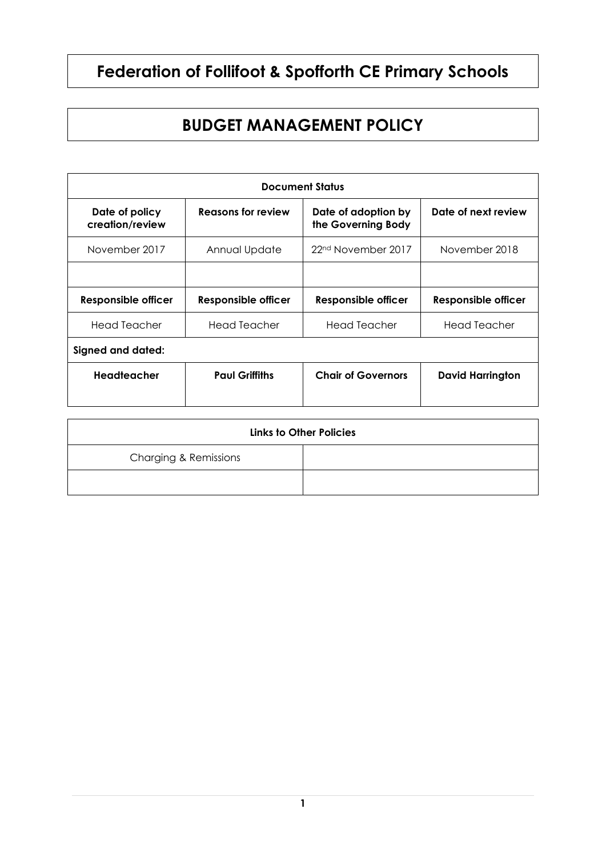# **Federation of Follifoot & Spofforth CE Primary Schools**

## **BUDGET MANAGEMENT POLICY**

| <b>Document Status</b>            |                            |                                           |                         |  |
|-----------------------------------|----------------------------|-------------------------------------------|-------------------------|--|
| Date of policy<br>creation/review | Reasons for review         | Date of adoption by<br>the Governing Body | Date of next review     |  |
| November 2017                     | Annual Update              | 22 <sup>nd</sup> November 2017            | November 2018           |  |
|                                   |                            |                                           |                         |  |
| Responsible officer               | <b>Responsible officer</b> | <b>Responsible officer</b>                | Responsible officer     |  |
| Head Teacher                      | Head Teacher               | <b>Head Teacher</b>                       | <b>Head Teacher</b>     |  |
| <b>Signed and dated:</b>          |                            |                                           |                         |  |
| Headteacher                       | <b>Paul Griffiths</b>      | <b>Chair of Governors</b>                 | <b>David Harrington</b> |  |
|                                   |                            |                                           |                         |  |

| <b>Links to Other Policies</b>   |  |  |
|----------------------------------|--|--|
| <b>Charging &amp; Remissions</b> |  |  |
|                                  |  |  |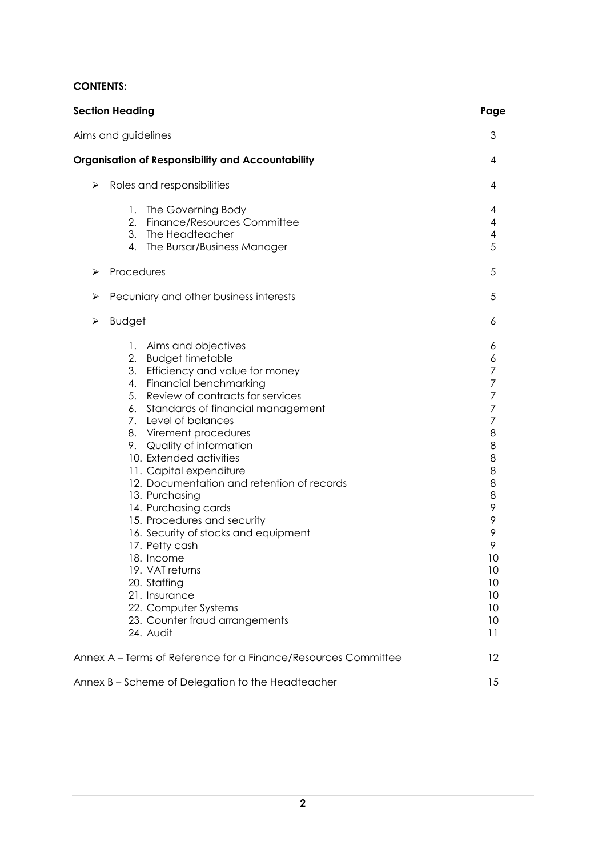### **CONTENTS:**

| <b>Section Heading</b><br>Aims and guidelines |                                                                                                                                                                                                                                                                                                                                                                                                                                                                                                                                                                                                                                                                  |                                                                                                                                          |  |
|-----------------------------------------------|------------------------------------------------------------------------------------------------------------------------------------------------------------------------------------------------------------------------------------------------------------------------------------------------------------------------------------------------------------------------------------------------------------------------------------------------------------------------------------------------------------------------------------------------------------------------------------------------------------------------------------------------------------------|------------------------------------------------------------------------------------------------------------------------------------------|--|
|                                               |                                                                                                                                                                                                                                                                                                                                                                                                                                                                                                                                                                                                                                                                  |                                                                                                                                          |  |
| ⋗                                             | Roles and responsibilities                                                                                                                                                                                                                                                                                                                                                                                                                                                                                                                                                                                                                                       | 4                                                                                                                                        |  |
|                                               | 1.<br>The Governing Body<br>2. Finance/Resources Committee<br>3. The Headteacher<br>4. The Bursar/Business Manager                                                                                                                                                                                                                                                                                                                                                                                                                                                                                                                                               | 4<br>4<br>4<br>5                                                                                                                         |  |
| ⋗                                             | Procedures                                                                                                                                                                                                                                                                                                                                                                                                                                                                                                                                                                                                                                                       |                                                                                                                                          |  |
| ➤                                             | Pecuniary and other business interests                                                                                                                                                                                                                                                                                                                                                                                                                                                                                                                                                                                                                           | 5                                                                                                                                        |  |
| ➤                                             | <b>Budget</b>                                                                                                                                                                                                                                                                                                                                                                                                                                                                                                                                                                                                                                                    | 6                                                                                                                                        |  |
|                                               | 1. Aims and objectives<br>2. Budget timetable<br>3. Efficiency and value for money<br>4. Financial benchmarking<br>Review of contracts for services<br>5.<br>6. Standards of financial management<br>7. Level of balances<br>8. Virement procedures<br>9. Quality of information<br>10. Extended activities<br>11. Capital expenditure<br>12. Documentation and retention of records<br>13. Purchasing<br>14. Purchasing cards<br>15. Procedures and security<br>16. Security of stocks and equipment<br>17. Petty cash<br>18. Income<br>19. VAT returns<br>20. Staffing<br>21. Insurance<br>22. Computer Systems<br>23. Counter fraud arrangements<br>24. Audit | 6<br>6<br>7<br>7<br>7<br>7<br>7<br>8<br>8<br>8<br>8<br>8<br>8<br>9<br>9<br>9<br>9<br>10<br>10<br>10<br>10<br>10<br>10<br>$\overline{11}$ |  |
|                                               | Annex A – Terms of Reference for a Finance/Resources Committee                                                                                                                                                                                                                                                                                                                                                                                                                                                                                                                                                                                                   | 12                                                                                                                                       |  |
|                                               | Annex B - Scheme of Delegation to the Headteacher                                                                                                                                                                                                                                                                                                                                                                                                                                                                                                                                                                                                                | 15                                                                                                                                       |  |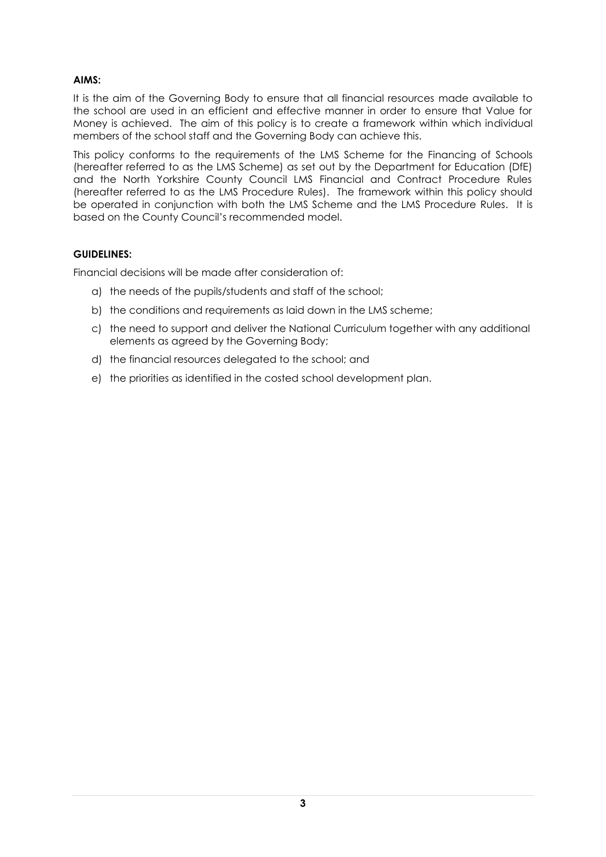#### **AIMS:**

It is the aim of the Governing Body to ensure that all financial resources made available to the school are used in an efficient and effective manner in order to ensure that Value for Money is achieved. The aim of this policy is to create a framework within which individual members of the school staff and the Governing Body can achieve this.

This policy conforms to the requirements of the LMS Scheme for the Financing of Schools (hereafter referred to as the LMS Scheme) as set out by the Department for Education (DfE) and the North Yorkshire County Council LMS Financial and Contract Procedure Rules (hereafter referred to as the LMS Procedure Rules). The framework within this policy should be operated in conjunction with both the LMS Scheme and the LMS Procedure Rules. It is based on the County Council's recommended model.

#### **GUIDELINES:**

Financial decisions will be made after consideration of:

- a) the needs of the pupils/students and staff of the school;
- b) the conditions and requirements as laid down in the LMS scheme;
- c) the need to support and deliver the National Curriculum together with any additional elements as agreed by the Governing Body;
- d) the financial resources delegated to the school; and
- e) the priorities as identified in the costed school development plan.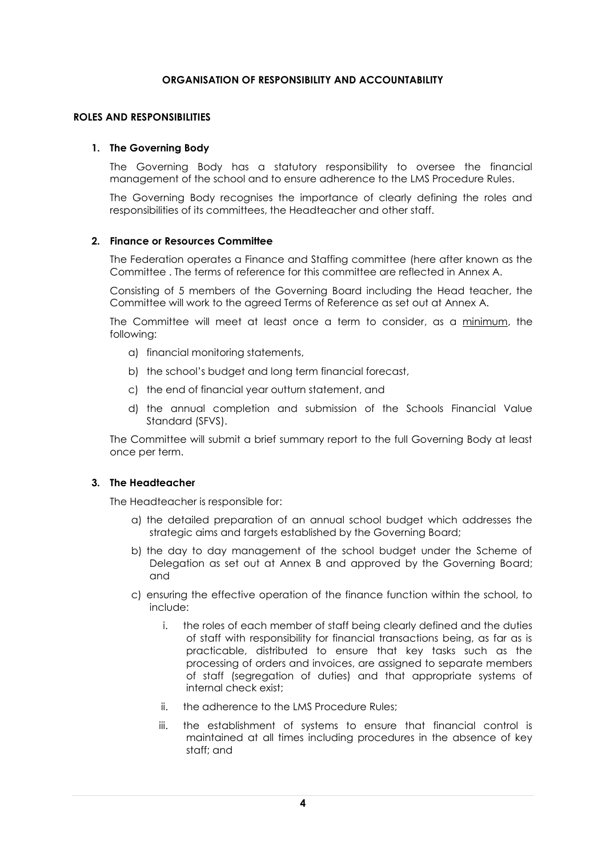#### **ORGANISATION OF RESPONSIBILITY AND ACCOUNTABILITY**

#### **ROLES AND RESPONSIBILITIES**

#### **1. The Governing Body**

The Governing Body has a statutory responsibility to oversee the financial management of the school and to ensure adherence to the LMS Procedure Rules.

The Governing Body recognises the importance of clearly defining the roles and responsibilities of its committees, the Headteacher and other staff.

#### **2. Finance or Resources Committee**

The Federation operates a Finance and Staffing committee (here after known as the Committee . The terms of reference for this committee are reflected in Annex A.

Consisting of 5 members of the Governing Board including the Head teacher, the Committee will work to the agreed Terms of Reference as set out at Annex A.

The Committee will meet at least once a term to consider, as a minimum, the following:

- a) financial monitoring statements,
- b) the school's budget and long term financial forecast,
- c) the end of financial year outturn statement, and
- d) the annual completion and submission of the Schools Financial Value Standard (SFVS).

The Committee will submit a brief summary report to the full Governing Body at least once per term.

#### **3. The Headteacher**

The Headteacher is responsible for:

- a) the detailed preparation of an annual school budget which addresses the strategic aims and targets established by the Governing Board;
- b) the day to day management of the school budget under the Scheme of Delegation as set out at Annex B and approved by the Governing Board; and
- c) ensuring the effective operation of the finance function within the school, to include:
	- i. the roles of each member of staff being clearly defined and the duties of staff with responsibility for financial transactions being, as far as is practicable, distributed to ensure that key tasks such as the processing of orders and invoices, are assigned to separate members of staff (segregation of duties) and that appropriate systems of internal check exist;
	- ii. the adherence to the LMS Procedure Rules;
	- iii. the establishment of systems to ensure that financial control is maintained at all times including procedures in the absence of key staff; and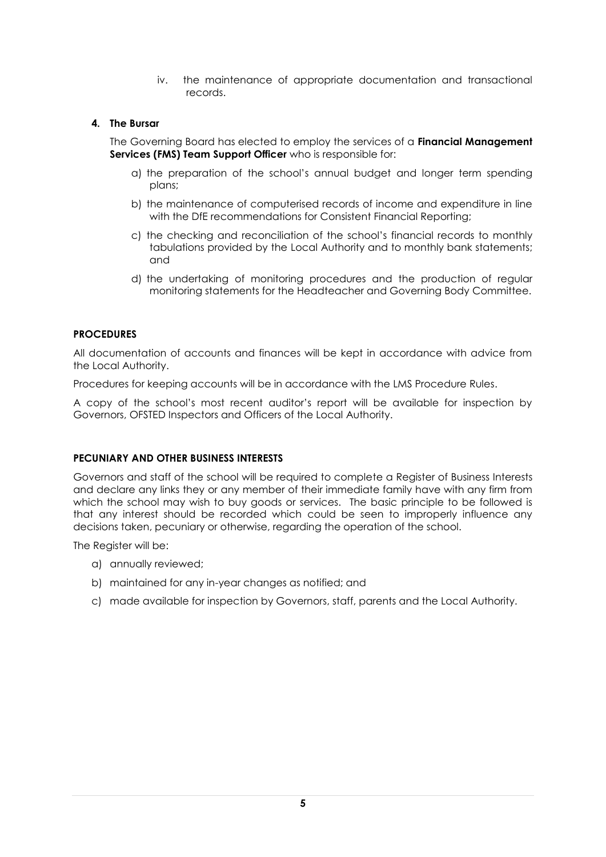iv. the maintenance of appropriate documentation and transactional records.

#### **4. The Bursar**

The Governing Board has elected to employ the services of a **Financial Management Services (FMS) Team Support Officer** who is responsible for:

- a) the preparation of the school's annual budget and longer term spending plans;
- b) the maintenance of computerised records of income and expenditure in line with the DfE recommendations for Consistent Financial Reporting;
- c) the checking and reconciliation of the school's financial records to monthly tabulations provided by the Local Authority and to monthly bank statements; and
- d) the undertaking of monitoring procedures and the production of regular monitoring statements for the Headteacher and Governing Body Committee.

#### **PROCEDURES**

All documentation of accounts and finances will be kept in accordance with advice from the Local Authority.

Procedures for keeping accounts will be in accordance with the LMS Procedure Rules.

A copy of the school's most recent auditor's report will be available for inspection by Governors, OFSTED Inspectors and Officers of the Local Authority.

#### **PECUNIARY AND OTHER BUSINESS INTERESTS**

Governors and staff of the school will be required to complete a Register of Business Interests and declare any links they or any member of their immediate family have with any firm from which the school may wish to buy goods or services. The basic principle to be followed is that any interest should be recorded which could be seen to improperly influence any decisions taken, pecuniary or otherwise, regarding the operation of the school.

The Register will be:

- a) annually reviewed;
- b) maintained for any in-year changes as notified; and
- c) made available for inspection by Governors, staff, parents and the Local Authority.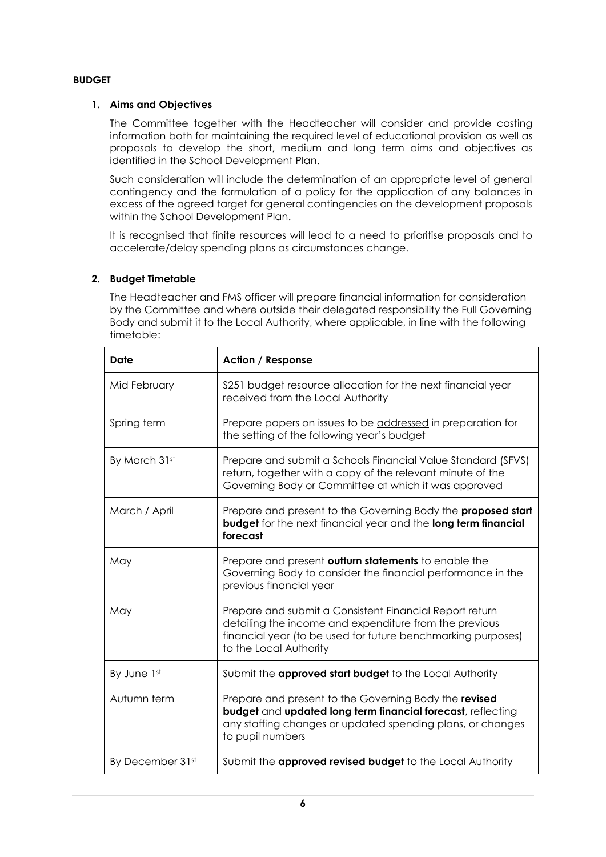#### **BUDGET**

#### **1. Aims and Objectives**

The Committee together with the Headteacher will consider and provide costing information both for maintaining the required level of educational provision as well as proposals to develop the short, medium and long term aims and objectives as identified in the School Development Plan.

Such consideration will include the determination of an appropriate level of general contingency and the formulation of a policy for the application of any balances in excess of the agreed target for general contingencies on the development proposals within the School Development Plan.

It is recognised that finite resources will lead to a need to prioritise proposals and to accelerate/delay spending plans as circumstances change.

#### **2. Budget Timetable**

The Headteacher and FMS officer will prepare financial information for consideration by the Committee and where outside their delegated responsibility the Full Governing Body and submit it to the Local Authority, where applicable, in line with the following timetable:

| Date             | <b>Action / Response</b>                                                                                                                                                                                    |  |
|------------------|-------------------------------------------------------------------------------------------------------------------------------------------------------------------------------------------------------------|--|
| Mid February     | \$251 budget resource allocation for the next financial year<br>received from the Local Authority                                                                                                           |  |
| Spring term      | Prepare papers on issues to be addressed in preparation for<br>the setting of the following year's budget                                                                                                   |  |
| By March 31st    | Prepare and submit a Schools Financial Value Standard (SFVS)<br>return, together with a copy of the relevant minute of the<br>Governing Body or Committee at which it was approved                          |  |
| March / April    | Prepare and present to the Governing Body the <b>proposed start</b><br><b>budget</b> for the next financial year and the long term financial<br>forecast                                                    |  |
| May              | Prepare and present outturn statements to enable the<br>Governing Body to consider the financial performance in the<br>previous financial year                                                              |  |
| May              | Prepare and submit a Consistent Financial Report return<br>detailing the income and expenditure from the previous<br>financial year (to be used for future benchmarking purposes)<br>to the Local Authority |  |
| By June 1st      | Submit the approved start budget to the Local Authority                                                                                                                                                     |  |
| Autumn term      | Prepare and present to the Governing Body the revised<br>budget and updated long term financial forecast, reflecting<br>any staffing changes or updated spending plans, or changes<br>to pupil numbers      |  |
| By December 31st | Submit the approved revised budget to the Local Authority                                                                                                                                                   |  |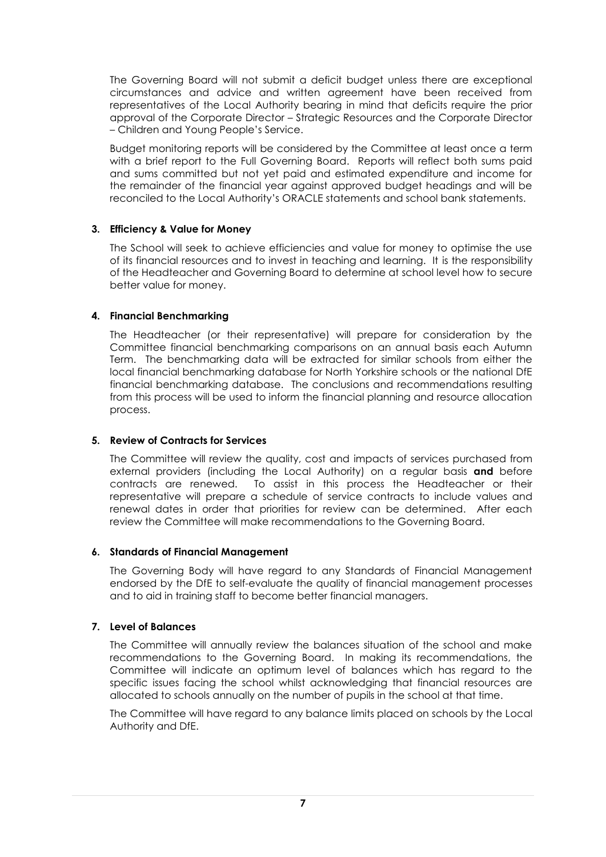The Governing Board will not submit a deficit budget unless there are exceptional circumstances and advice and written agreement have been received from representatives of the Local Authority bearing in mind that deficits require the prior approval of the Corporate Director – Strategic Resources and the Corporate Director – Children and Young People's Service.

Budget monitoring reports will be considered by the Committee at least once a term with a brief report to the Full Governing Board. Reports will reflect both sums paid and sums committed but not yet paid and estimated expenditure and income for the remainder of the financial year against approved budget headings and will be reconciled to the Local Authority's ORACLE statements and school bank statements.

#### **3. Efficiency & Value for Money**

The School will seek to achieve efficiencies and value for money to optimise the use of its financial resources and to invest in teaching and learning. It is the responsibility of the Headteacher and Governing Board to determine at school level how to secure better value for money.

#### **4. Financial Benchmarking**

The Headteacher (or their representative) will prepare for consideration by the Committee financial benchmarking comparisons on an annual basis each Autumn Term. The benchmarking data will be extracted for similar schools from either the local financial benchmarking database for North Yorkshire schools or the national DfE financial benchmarking database. The conclusions and recommendations resulting from this process will be used to inform the financial planning and resource allocation process.

#### **5. Review of Contracts for Services**

The Committee will review the quality, cost and impacts of services purchased from external providers (including the Local Authority) on a regular basis **and** before contracts are renewed. To assist in this process the Headteacher or their representative will prepare a schedule of service contracts to include values and renewal dates in order that priorities for review can be determined. After each review the Committee will make recommendations to the Governing Board.

#### **6. Standards of Financial Management**

The Governing Body will have regard to any Standards of Financial Management endorsed by the DfE to self-evaluate the quality of financial management processes and to aid in training staff to become better financial managers.

#### **7. Level of Balances**

The Committee will annually review the balances situation of the school and make recommendations to the Governing Board. In making its recommendations, the Committee will indicate an optimum level of balances which has regard to the specific issues facing the school whilst acknowledging that financial resources are allocated to schools annually on the number of pupils in the school at that time.

The Committee will have regard to any balance limits placed on schools by the Local Authority and DfE.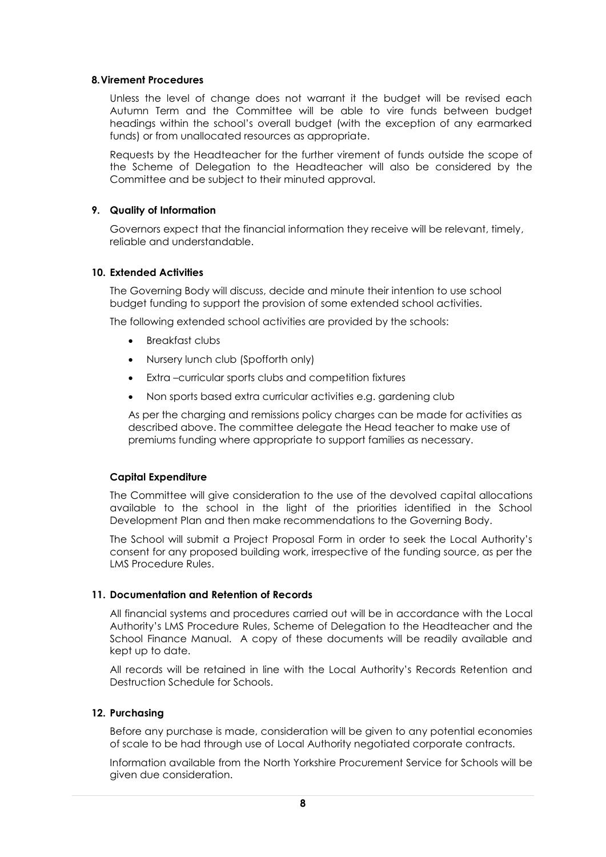#### **8.Virement Procedures**

Unless the level of change does not warrant it the budget will be revised each Autumn Term and the Committee will be able to vire funds between budget headings within the school's overall budget (with the exception of any earmarked funds) or from unallocated resources as appropriate.

Requests by the Headteacher for the further virement of funds outside the scope of the Scheme of Delegation to the Headteacher will also be considered by the Committee and be subject to their minuted approval.

#### **9. Quality of Information**

Governors expect that the financial information they receive will be relevant, timely, reliable and understandable.

#### **10. Extended Activities**

The Governing Body will discuss, decide and minute their intention to use school budget funding to support the provision of some extended school activities.

The following extended school activities are provided by the schools:

- Breakfast clubs
- Nursery lunch club (Spofforth only)
- Extra –curricular sports clubs and competition fixtures
- Non sports based extra curricular activities e.g. gardening club

As per the charging and remissions policy charges can be made for activities as described above. The committee delegate the Head teacher to make use of premiums funding where appropriate to support families as necessary.

#### **Capital Expenditure**

The Committee will give consideration to the use of the devolved capital allocations available to the school in the light of the priorities identified in the School Development Plan and then make recommendations to the Governing Body.

The School will submit a Project Proposal Form in order to seek the Local Authority's consent for any proposed building work, irrespective of the funding source, as per the LMS Procedure Rules.

#### **11. Documentation and Retention of Records**

All financial systems and procedures carried out will be in accordance with the Local Authority's LMS Procedure Rules, Scheme of Delegation to the Headteacher and the School Finance Manual. A copy of these documents will be readily available and kept up to date.

All records will be retained in line with the Local Authority's Records Retention and Destruction Schedule for Schools.

#### **12. Purchasing**

Before any purchase is made, consideration will be given to any potential economies of scale to be had through use of Local Authority negotiated corporate contracts.

Information available from the North Yorkshire Procurement Service for Schools will be given due consideration.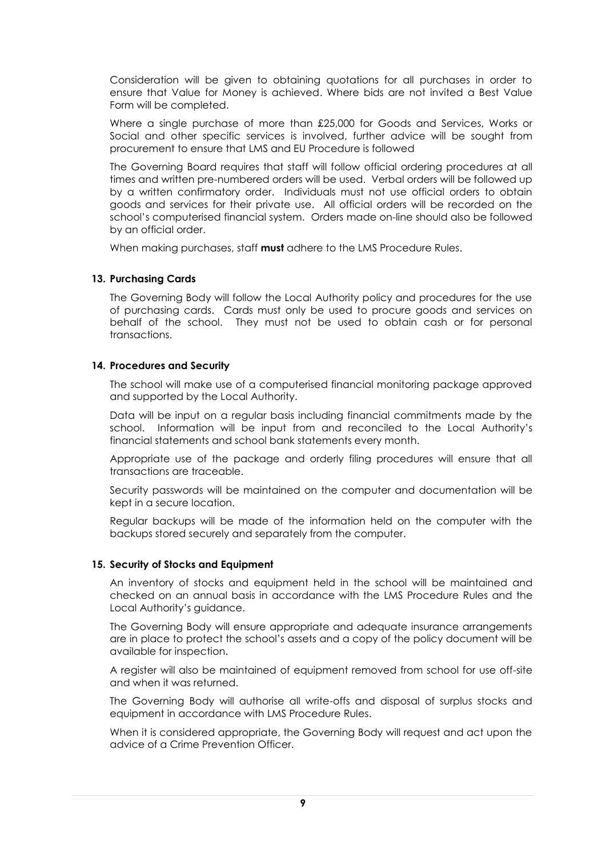Consideration will be given to obtaining quotations for all purchases in order to ensure that Value for Money is achieved. Where bids are not invited a Best Value Form will be completed.

Where a single purchase of more than £25,000 for Goods and Services, Works or Social and other specific services is involved, further advice will be sought from procurement to ensure that LMS and EU Procedure is followed

The Governing Board requires that staff will follow official ordering procedures at all times and written pre-numbered orders will be used. Verbal orders will be followed up by a written confirmatory order. Individuals must not use official orders to obtain goods and services for their private use. All official orders will be recorded on the school's computerised financial system. Orders made on-line should also be followed by an official order.

When making purchases, staff **must** adhere to the LMS Procedure Rules.

#### **13. Purchasing Cards**

The Governing Body will follow the Local Authority policy and procedures for the use of purchasing cards. Cards must only be used to procure goods and services on behalf of the school. They must not be used to obtain cash or for personal transactions.

#### **14. Procedures and Security**

The school will make use of a computerised financial monitoring package approved and supported by the Local Authority.

Data will be input on a regular basis including financial commitments made by the school. Information will be input from and reconciled to the Local Authority's financial statements and school bank statements every month.

Appropriate use of the package and orderly filing procedures will ensure that all transactions are traceable.

Security passwords will be maintained on the computer and documentation will be kept in a secure location.

Regular backups will be made of the information held on the computer with the backups stored securely and separately from the computer.

#### **15. Security of Stocks and Equipment**

An inventory of stocks and equipment held in the school will be maintained and checked on an annual basis in accordance with the LMS Procedure Rules and the Local Authority's guidance.

The Governing Body will ensure appropriate and adequate insurance arrangements are in place to protect the school's assets and a copy of the policy document will be available for inspection.

A register will also be maintained of equipment removed from school for use off-site and when it was returned.

The Governing Body will authorise all write-offs and disposal of surplus stocks and equipment in accordance with LMS Procedure Rules.

When it is considered appropriate, the Governing Body will request and act upon the advice of a Crime Prevention Officer.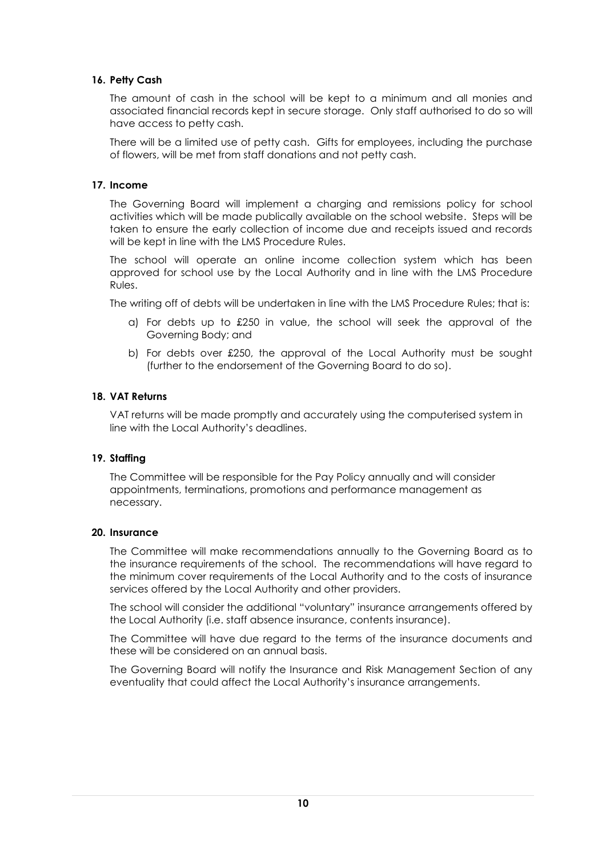#### **16. Petty Cash**

The amount of cash in the school will be kept to a minimum and all monies and associated financial records kept in secure storage. Only staff authorised to do so will have access to petty cash.

There will be a limited use of petty cash. Gifts for employees, including the purchase of flowers, will be met from staff donations and not petty cash.

#### **17. Income**

The Governing Board will implement a charging and remissions policy for school activities which will be made publically available on the school website. Steps will be taken to ensure the early collection of income due and receipts issued and records will be kept in line with the LMS Procedure Rules.

The school will operate an online income collection system which has been approved for school use by the Local Authority and in line with the LMS Procedure Rules.

The writing off of debts will be undertaken in line with the LMS Procedure Rules; that is:

- a) For debts up to £250 in value, the school will seek the approval of the Governing Body; and
- b) For debts over £250, the approval of the Local Authority must be sought (further to the endorsement of the Governing Board to do so).

#### **18. VAT Returns**

VAT returns will be made promptly and accurately using the computerised system in line with the Local Authority's deadlines.

#### **19. Staffing**

The Committee will be responsible for the Pay Policy annually and will consider appointments, terminations, promotions and performance management as necessary.

#### **20. Insurance**

The Committee will make recommendations annually to the Governing Board as to the insurance requirements of the school. The recommendations will have regard to the minimum cover requirements of the Local Authority and to the costs of insurance services offered by the Local Authority and other providers.

The school will consider the additional "voluntary" insurance arrangements offered by the Local Authority (i.e. staff absence insurance, contents insurance).

The Committee will have due regard to the terms of the insurance documents and these will be considered on an annual basis.

The Governing Board will notify the Insurance and Risk Management Section of any eventuality that could affect the Local Authority's insurance arrangements.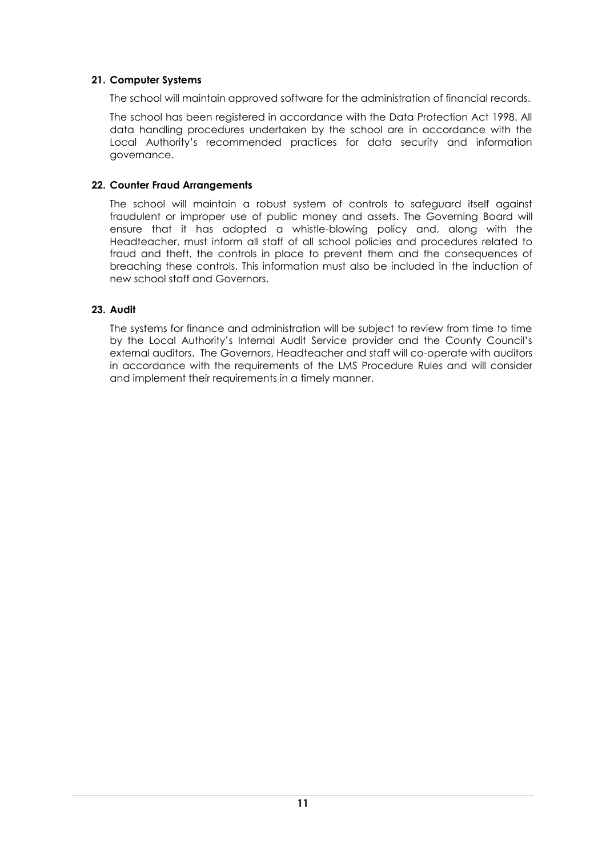#### **21. Computer Systems**

The school will maintain approved software for the administration of financial records.

The school has been registered in accordance with the Data Protection Act 1998. All data handling procedures undertaken by the school are in accordance with the Local Authority's recommended practices for data security and information governance.

#### **22. Counter Fraud Arrangements**

The school will maintain a robust system of controls to safeguard itself against fraudulent or improper use of public money and assets. The Governing Board will ensure that it has adopted a whistle-blowing policy and, along with the Headteacher, must inform all staff of all school policies and procedures related to fraud and theft, the controls in place to prevent them and the consequences of breaching these controls. This information must also be included in the induction of new school staff and Governors.

#### **23. Audit**

The systems for finance and administration will be subject to review from time to time by the Local Authority's Internal Audit Service provider and the County Council's external auditors. The Governors, Headteacher and staff will co-operate with auditors in accordance with the requirements of the LMS Procedure Rules and will consider and implement their requirements in a timely manner.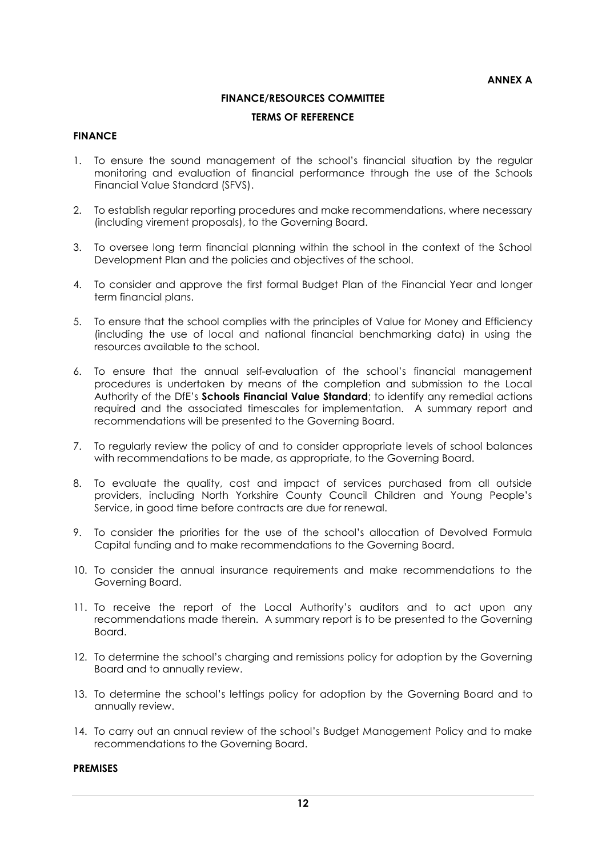## **FINANCE/RESOURCES COMMITTEE**

#### **TERMS OF REFERENCE**

#### **FINANCE**

- 1. To ensure the sound management of the school's financial situation by the regular monitoring and evaluation of financial performance through the use of the Schools Financial Value Standard (SFVS).
- 2. To establish regular reporting procedures and make recommendations, where necessary (including virement proposals), to the Governing Board.
- 3. To oversee long term financial planning within the school in the context of the School Development Plan and the policies and objectives of the school.
- 4. To consider and approve the first formal Budget Plan of the Financial Year and longer term financial plans.
- 5. To ensure that the school complies with the principles of Value for Money and Efficiency (including the use of local and national financial benchmarking data) in using the resources available to the school.
- 6. To ensure that the annual self-evaluation of the school's financial management procedures is undertaken by means of the completion and submission to the Local Authority of the DfE's **Schools Financial Value Standard**; to identify any remedial actions required and the associated timescales for implementation. A summary report and recommendations will be presented to the Governing Board.
- 7. To regularly review the policy of and to consider appropriate levels of school balances with recommendations to be made, as appropriate, to the Governing Board.
- 8. To evaluate the quality, cost and impact of services purchased from all outside providers, including North Yorkshire County Council Children and Young People's Service, in good time before contracts are due for renewal.
- 9. To consider the priorities for the use of the school's allocation of Devolved Formula Capital funding and to make recommendations to the Governing Board.
- 10. To consider the annual insurance requirements and make recommendations to the Governing Board.
- 11. To receive the report of the Local Authority's auditors and to act upon any recommendations made therein. A summary report is to be presented to the Governing Board.
- 12. To determine the school's charging and remissions policy for adoption by the Governing Board and to annually review.
- 13. To determine the school's lettings policy for adoption by the Governing Board and to annually review.
- 14. To carry out an annual review of the school's Budget Management Policy and to make recommendations to the Governing Board.

#### **PREMISES**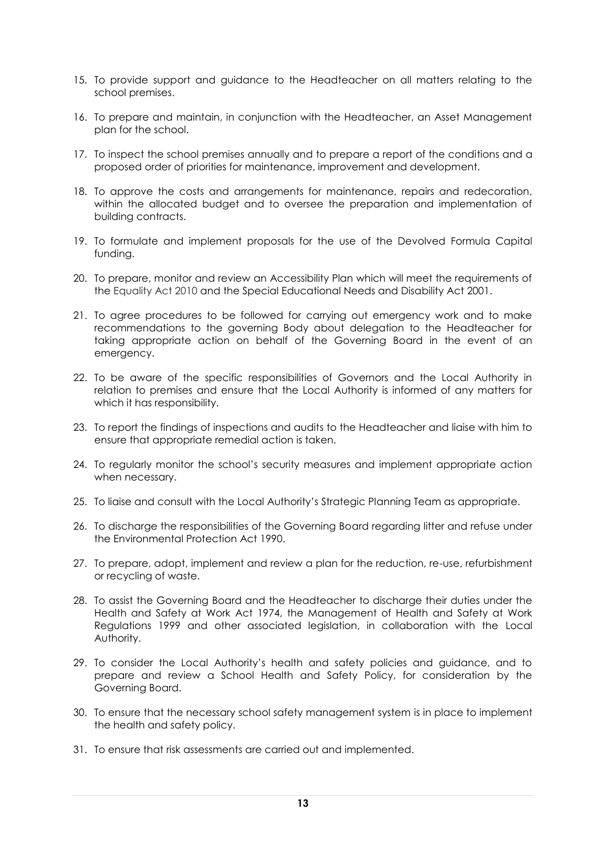- 15. To provide support and guidance to the Headteacher on all matters relating to the school premises.
- 16. To prepare and maintain, in conjunction with the Headteacher, an Asset Management plan for the school.
- 17. To inspect the school premises annually and to prepare a report of the conditions and a proposed order of priorities for maintenance, improvement and development.
- 18. To approve the costs and arrangements for maintenance, repairs and redecoration, within the allocated budget and to oversee the preparation and implementation of building contracts.
- 19. To formulate and implement proposals for the use of the Devolved Formula Capital funding.
- 20. To prepare, monitor and review an Accessibility Plan which will meet the requirements of the Equality Act 2010 and the Special Educational Needs and Disability Act 2001.
- 21. To agree procedures to be followed for carrying out emergency work and to make recommendations to the governing Body about delegation to the Headteacher for taking appropriate action on behalf of the Governing Board in the event of an emergency.
- 22. To be aware of the specific responsibilities of Governors and the Local Authority in relation to premises and ensure that the Local Authority is informed of any matters for which it has responsibility.
- 23. To report the findings of inspections and audits to the Headteacher and liaise with him to ensure that appropriate remedial action is taken.
- 24. To regularly monitor the school's security measures and implement appropriate action when necessary.
- 25. To liaise and consult with the Local Authority's Strategic Planning Team as appropriate.
- 26. To discharge the responsibilities of the Governing Board regarding litter and refuse under the Environmental Protection Act 1990.
- 27. To prepare, adopt, implement and review a plan for the reduction, re-use, refurbishment or recycling of waste.
- 28. To assist the Governing Board and the Headteacher to discharge their duties under the Health and Safety at Work Act 1974, the Management of Health and Safety at Work Regulations 1999 and other associated legislation, in collaboration with the Local Authority.
- 29. To consider the Local Authority's health and safety policies and guidance, and to prepare and review a School Health and Safety Policy, for consideration by the Governing Board.
- 30. To ensure that the necessary school safety management system is in place to implement the health and safety policy.
- 31. To ensure that risk assessments are carried out and implemented.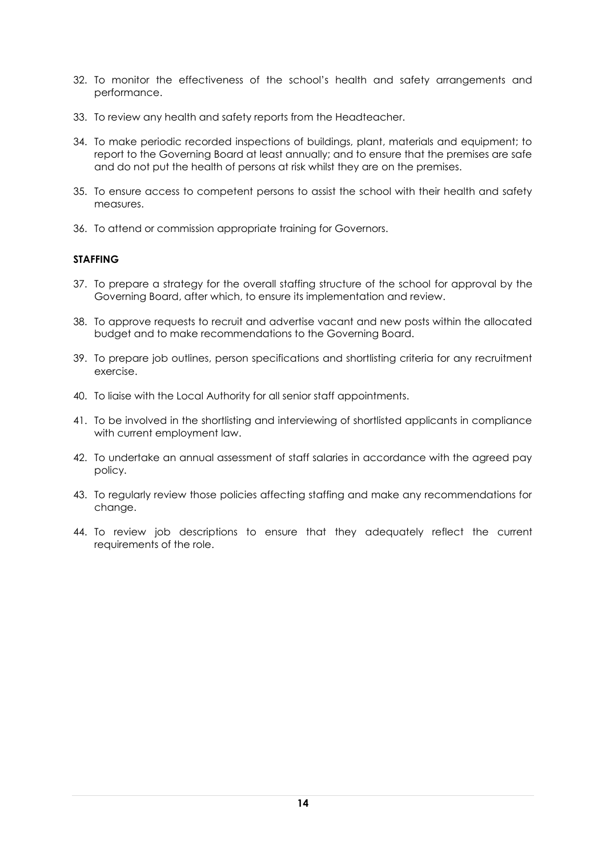- 32. To monitor the effectiveness of the school's health and safety arrangements and performance.
- 33. To review any health and safety reports from the Headteacher.
- 34. To make periodic recorded inspections of buildings, plant, materials and equipment; to report to the Governing Board at least annually; and to ensure that the premises are safe and do not put the health of persons at risk whilst they are on the premises.
- 35. To ensure access to competent persons to assist the school with their health and safety measures.
- 36. To attend or commission appropriate training for Governors.

#### **STAFFING**

- 37. To prepare a strategy for the overall staffing structure of the school for approval by the Governing Board, after which, to ensure its implementation and review.
- 38. To approve requests to recruit and advertise vacant and new posts within the allocated budget and to make recommendations to the Governing Board.
- 39. To prepare job outlines, person specifications and shortlisting criteria for any recruitment exercise.
- 40. To liaise with the Local Authority for all senior staff appointments.
- 41. To be involved in the shortlisting and interviewing of shortlisted applicants in compliance with current employment law.
- 42. To undertake an annual assessment of staff salaries in accordance with the agreed pay policy.
- 43. To regularly review those policies affecting staffing and make any recommendations for change.
- 44. To review job descriptions to ensure that they adequately reflect the current requirements of the role.